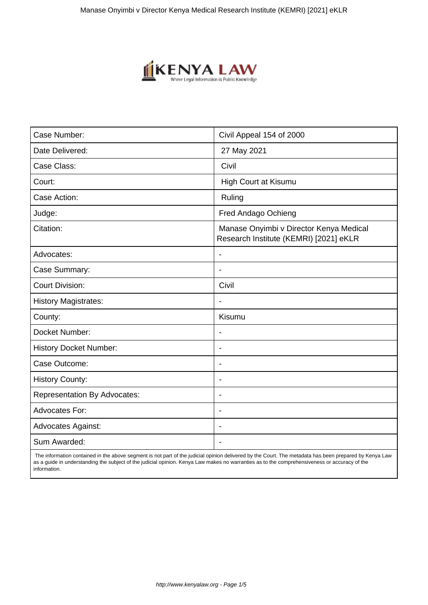

| Case Number:                        | Civil Appeal 154 of 2000                                                          |
|-------------------------------------|-----------------------------------------------------------------------------------|
| Date Delivered:                     | 27 May 2021                                                                       |
| Case Class:                         | Civil                                                                             |
| Court:                              | <b>High Court at Kisumu</b>                                                       |
| Case Action:                        | Ruling                                                                            |
| Judge:                              | Fred Andago Ochieng                                                               |
| Citation:                           | Manase Onyimbi v Director Kenya Medical<br>Research Institute (KEMRI) [2021] eKLR |
| Advocates:                          |                                                                                   |
| Case Summary:                       |                                                                                   |
| <b>Court Division:</b>              | Civil                                                                             |
| <b>History Magistrates:</b>         | $\blacksquare$                                                                    |
| County:                             | Kisumu                                                                            |
| Docket Number:                      |                                                                                   |
| <b>History Docket Number:</b>       | $\overline{\phantom{a}}$                                                          |
| Case Outcome:                       |                                                                                   |
| <b>History County:</b>              | $\overline{\phantom{a}}$                                                          |
| <b>Representation By Advocates:</b> | $\blacksquare$                                                                    |
| <b>Advocates For:</b>               | $\blacksquare$                                                                    |
| <b>Advocates Against:</b>           | $\blacksquare$                                                                    |
| Sum Awarded:                        |                                                                                   |

 The information contained in the above segment is not part of the judicial opinion delivered by the Court. The metadata has been prepared by Kenya Law as a guide in understanding the subject of the judicial opinion. Kenya Law makes no warranties as to the comprehensiveness or accuracy of the information.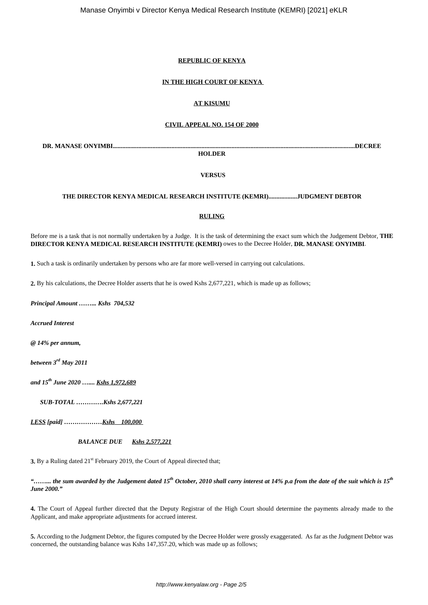## **REPUBLIC OF KENYA**

## **IN THE HIGH COURT OF KENYA**

## **AT KISUMU**

### **CIVIL APPEAL NO. 154 OF 2000**

**DR. MANASE ONYIMBI.........................................................................................................................................................DECREE**

**HOLDER**

**VERSUS**

## **THE DIRECTOR KENYA MEDICAL RESEARCH INSTITUTE (KEMRI)..................JUDGMENT DEBTOR**

## **RULING**

Before me is a task that is not normally undertaken by a Judge. It is the task of determining the exact sum which the Judgement Debtor, **THE DIRECTOR KENYA MEDICAL RESEARCH INSTITUTE (KEMRI)** owes to the Decree Holder, **DR. MANASE ONYIMBI**.

**1.** Such a task is ordinarily undertaken by persons who are far more well-versed in carrying out calculations.

**2.** By his calculations, the Decree Holder asserts that he is owed Kshs 2,677,221, which is made up as follows;

*Principal Amount ……... Kshs 704,532*

*Accrued Interest*

*@ 14% per annum,*

*between 3rd May 2011*

*and 15th June 2020 ….... Kshs 1,972,689*

*SUB-TOTAL ………….Kshs 2,677,221*

*LESS [paid] ………………Kshs 100,000* 

 *BALANCE DUE Kshs 2,577,221*

**3.** By a Ruling dated  $21<sup>st</sup>$  February 2019, the Court of Appeal directed that;

## *"……... the sum awarded by the Judgement dated 15th October, 2010 shall carry interest at 14% p.a from the date of the suit which is 15th June 2000."*

**4.** The Court of Appeal further directed that the Deputy Registrar of the High Court should determine the payments already made to the Applicant, and make appropriate adjustments for accrued interest.

**5.** According to the Judgment Debtor, the figures computed by the Decree Holder were grossly exaggerated. As far as the Judgment Debtor was concerned, the outstanding balance was Kshs 147,357.20, which was made up as follows;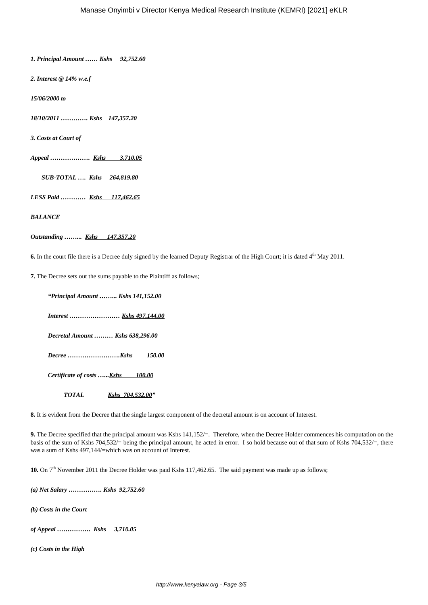*1. Principal Amount …… Kshs 92,752.60*

*2. Interest @ 14% w.e.f*

*15/06/2000 to*

*18/10/2011 …………. Kshs 147,357.20*

*3. Costs at Court of*

*Appeal ………………. Kshs 3,710.05*

 *SUB-TOTAL …. Kshs 264,819.80*

*LESS Paid ………… Kshs 117,462.65*

*BALANCE*

## *Outstanding ……... Kshs 147,357.20*

**6.** In the court file there is a Decree duly signed by the learned Deputy Registrar of the High Court; it is dated 4<sup>th</sup> May 2011.

**7.** The Decree sets out the sums payable to the Plaintiff as follows;

*"Principal Amount ……... Kshs 141,152.00*

 *Interest …………………… Kshs 497,144.00*

 *Decretal Amount ……… Kshs 638,296.00*

 *Decree …………………….Kshs 150.00*

 *Certificate of costs …...Kshs 100.00*

 *TOTAL Kshs 704,532.00"*

**8.** It is evident from the Decree that the single largest component of the decretal amount is on account of Interest.

**9.** The Decree specified that the principal amount was Kshs 141,152/=. Therefore, when the Decree Holder commences his computation on the basis of the sum of Kshs 704,532/= being the principal amount, he acted in error. I so hold because out of that sum of Kshs 704,532/=, there was a sum of Kshs 497,144/=which was on account of Interest.

**10.** On 7th November 2011 the Decree Holder was paid Kshs 117,462.65. The said payment was made up as follows;

*(a) Net Salary ……………. Kshs 92,752.60*

*(b) Costs in the Court*

*of Appeal ……………. Kshs 3,710.05*

*(c) Costs in the High*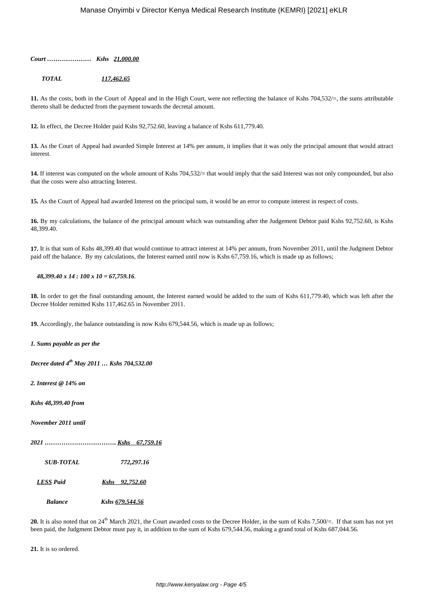*Court ………………… Kshs 21,000.00*

 *TOTAL 117,462.65*

11. As the costs, both in the Court of Appeal and in the High Court, were not reflecting the balance of Kshs 704,532/=, the sums attributable thereto shall be deducted from the payment towards the decretal amount.

**12.** In effect, the Decree Holder paid Kshs 92,752.60, leaving a balance of Kshs 611,779.40.

**13.** As the Court of Appeal had awarded Simple Interest at 14% per annum, it implies that it was only the principal amount that would attract interest.

14. If interest was computed on the whole amount of Kshs 704,532/= that would imply that the said Interest was not only compounded, but also that the costs were also attracting Interest.

**15.** As the Court of Appeal had awarded Interest on the principal sum, it would be an error to compute interest in respect of costs.

**16.** By my calculations, the balance of the principal amount which was outstanding after the Judgement Debtor paid Kshs 92,752.60, is Kshs 48,399.40.

**17.** It is that sum of Kshs 48,399.40 that would continue to attract interest at 14% per annum, from November 2011, until the Judgment Debtor paid off the balance. By my calculations, the Interest earned until now is Kshs 67,759.16, which is made up as follows;

### *48,399.40 x 14 : 100 x 10 = 67,759.16*.

**18.** In order to get the final outstanding amount, the Interest earned would be added to the sum of Kshs 611,779.40, which was left after the Decree Holder remitted Kshs 117,462.65 in November 2011.

**19.** Accordingly, the balance outstanding is now Kshs 679,544.56, which is made up as follows;

*1. Sums payable as per the*

*Decree dated 4th May 2011 … Kshs 704,532.00*

*2. Interest @ 14% on* 

*Kshs 48,399.40 from*

*November 2011 until* 

*2021 ……………………………. Kshs 67,759.16*

 *SUB-TOTAL 772,297.16*

*LESS Paid Kshs 92,752.60*

 *Balance Kshs 679,544.56*

20. It is also noted that on 24<sup>th</sup> March 2021, the Court awarded costs to the Decree Holder, in the sum of Kshs 7,500/=. If that sum has not yet been paid, the Judgment Debtor must pay it, in addition to the sum of Kshs 679,544.56, making a grand total of Kshs 687,044.56.

**21.** It is so ordered.